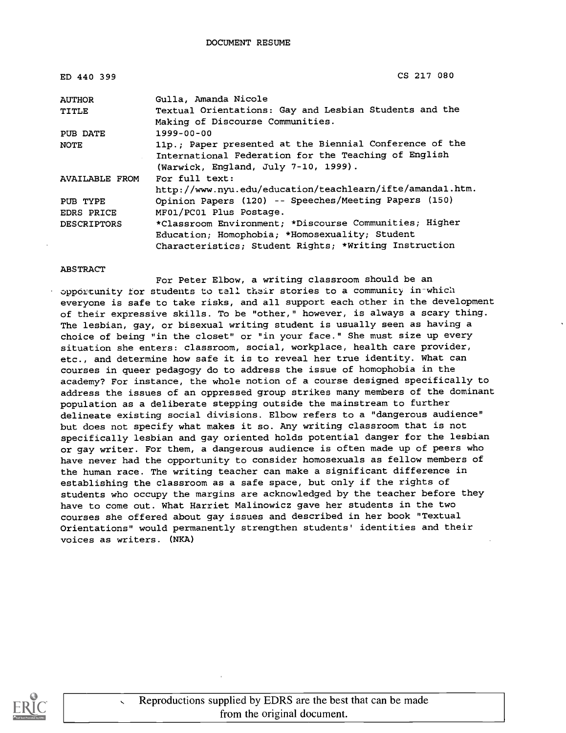| ED 440 399         | CS 217 080                                                |  |
|--------------------|-----------------------------------------------------------|--|
| <b>AUTHOR</b>      | Gulla, Amanda Nicole                                      |  |
| TITLE              | Textual Orientations: Gay and Lesbian Students and the    |  |
|                    | Making of Discourse Communities.                          |  |
| PUB DATE           | $1999 - 00 - 00$                                          |  |
| NOTE               | 11p.; Paper presented at the Biennial Conference of the   |  |
|                    | International Federation for the Teaching of English      |  |
|                    | (Warwick, England, July 7-10, 1999).                      |  |
| AVAILABLE FROM     | For full text:                                            |  |
|                    | http://www.nyu.edu/education/teachlearn/ifte/amanda1.htm. |  |
| PUB TYPE           | Opinion Papers (120) -- Speeches/Meeting Papers (150)     |  |
| EDRS PRICE         | MF01/PC01 Plus Postage.                                   |  |
| <b>DESCRIPTORS</b> | *Classroom Environment; *Discourse Communities; Higher    |  |
|                    | Education; Homophobia; *Homosexuality; Student            |  |
|                    | Characteristics; Student Rights; *Writing Instruction     |  |

#### ABSTRACT

For Peter Elbow, a writing classroom should be an opportunity for students to tell their stories to a community in which everyone is safe to take risks, and all support each other in the development of their expressive skills. To be "other," however, is always a scary thing. The lesbian, gay, or bisexual writing student is usually seen as having a choice of being "in the closet" or "in your face." She must size up every situation she enters: classroom, social, workplace, health care provider, etc., and determine how safe it is to reveal her true identity. What can courses in queer pedagogy do to address the issue of homophobia in the academy? For instance, the whole notion of a course designed specifically to address the issues of an oppressed group strikes many members of the dominant population as a deliberate stepping outside the mainstream to further delineate existing social divisions. Elbow refers to a "dangerous audience" but does not specify what makes it so. Any writing classroom that is not specifically lesbian and gay oriented holds potential danger for the lesbian or gay writer. For them, a dangerous audience is often made up of peers who have never had the opportunity to consider homosexuals as fellow members of the human race. The writing teacher can make a significant difference in establishing the classroom as a safe space, but only if the rights of students who occupy the margins are acknowledged by the teacher before they have to come out. What Harriet Malinowicz gave her students in the two courses she offered about gay issues and described in her book "Textual Orientations" would permanently strengthen students' identities and their voices as writers. (NKA)

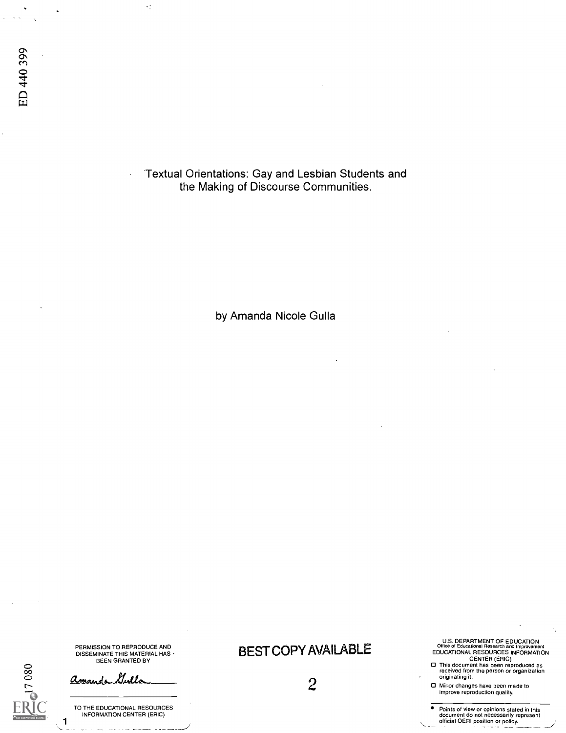$\mathcal{A}^{\star}_{\mathcal{A}}$ 

Textual Orientations: Gay and Lesbian Students and the Making of Discourse Communities.

by Amanda Nicole Gulla

PERMISSION TO REPRODUCE AND **DEST COPY AVAILABLE**<br>BEEN GRANTED BY<br>BEEN GRANTED BY

<u>Comando Nulla (metal de la componente</u> de la componente de la componente de la componente de la componente de la<br>Componente de la componente de la componente de la componente de la componente de la componente de la compon

U.S. DEPARTMENT OF EDUCATION

PENNISSION TO REPHODUCE AND<br>DISSEMINATE THIS MATERIAL HAS BEST COPY AVAILABLE<br>BEN GRANTED BY CENTER (ERIC) CENTER (ERIC) CENTER (ERIC)<br>Originating it.<br>CENTER (ERIC) CENTER (ERIC) CENTER (ERIC) CENTER (ERIC)

Minor changes have been made to<br>
a contract of the contract of the contract of the contract of the contract of the contract of the contract of<br>
A contract of the contract of the contract of the contract of the contract of

TO THE EDUCATIONAL RESOURCES **Points of view or opinions stated in this**<br>INFORMATION CENTER (ERIC) document do not necessarily represent<br>**1** official OERI position or policy.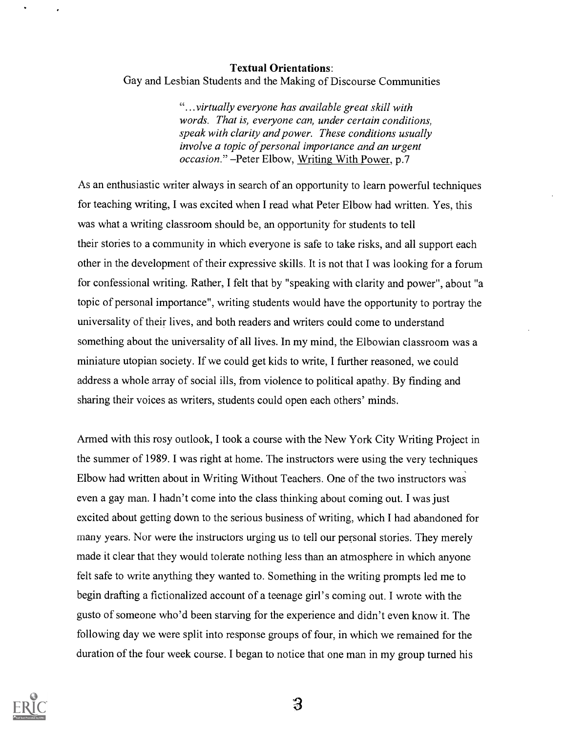#### Textual Orientations:

Gay and Lesbian Students and the Making of Discourse Communities

"...virtually everyone has available great skill with words. That is, everyone can, under certain conditions, speak with clarity and power. These conditions usually involve a topic of personal importance and an urgent occasion." - Peter Elbow, Writing With Power, p.7

As an enthusiastic writer always in search of an opportunity to learn powerful techniques for teaching writing, I was excited when I read what Peter Elbow had written. Yes, this was what a writing classroom should be, an opportunity for students to tell their stories to a community in which everyone is safe to take risks, and all support each other in the development of their expressive skills. It is not that I was looking for a forum for confessional writing. Rather, I felt that by "speaking with clarity and power", about "a topic of personal importance", writing students would have the opportunity to portray the universality of their lives, and both readers and writers could come to understand something about the universality of all lives. In my mind, the Elbowian classroom was a miniature utopian society. If we could get kids to write, I further reasoned, we could address a whole array of social ills, from violence to political apathy. By finding and sharing their voices as writers, students could open each others' minds.

Armed with this rosy outlook, I took a course with the New York City Writing Project in the summer of 1989. I was right at home. The instructors were using the very techniques Elbow had written about in Writing Without Teachers. One of the two instructors was even a gay man. I hadn't come into the class thinking about coming out. I was just excited about getting down to the serious business of writing, which I had abandoned for many years. Nor were the instructors urging us to tell our personal stories. They merely made it clear that they would tolerate nothing less than an atmosphere in which anyone felt safe to write anything they wanted to. Something in the writing prompts led me to begin drafting a fictionalized account of a teenage girl's coming out. I wrote with the gusto of someone who'd been starving for the experience and didn't even know it. The following day we were split into response groups of four, in which we remained for the duration of the four week course. I began to notice that one man in my group turned his

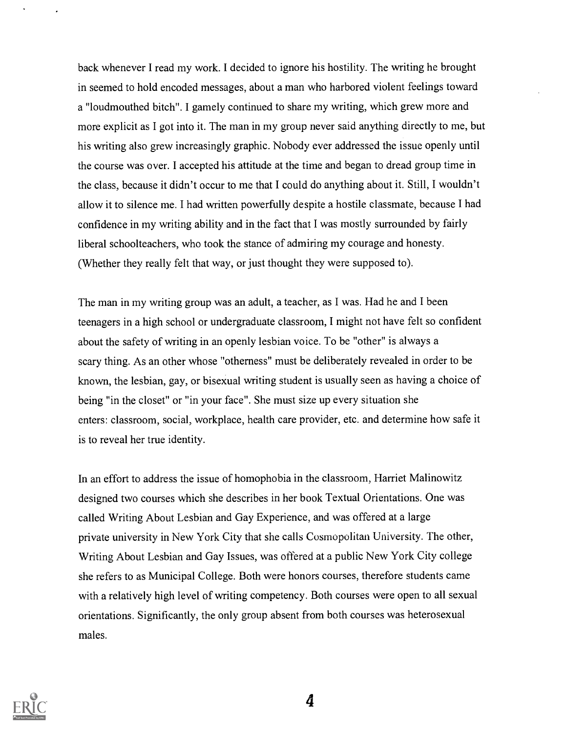back whenever I read my work. I decided to ignore his hostility. The writing he brought in seemed to hold encoded messages, about a man who harbored violent feelings toward a "loudmouthed bitch". I gamely continued to share my writing, which grew more and more explicit as I got into it. The man in my group never said anything directly to me, but his writing also grew increasingly graphic. Nobody ever addressed the issue openly until the course was over. I accepted his attitude at the time and began to dread group time in the class, because it didn't occur to me that I could do anything about it. Still, I wouldn't allow it to silence me. I had written powerfully despite a hostile classmate, because I had confidence in my writing ability and in the fact that I was mostly surrounded by fairly liberal schoolteachers, who took the stance of admiring my courage and honesty. (Whether they really felt that way, or just thought they were supposed to).

The man in my writing group was an adult, a teacher, as I was. Had he and I been teenagers in a high school or undergraduate classroom, I might not have felt so confident about the safety of writing in an openly lesbian voice. To be "other" is always a scary thing. As an other whose "otherness" must be deliberately revealed in order to be known, the lesbian, gay, or bisexual writing student is usually seen as having a choice of being "in the closet" or "in your face". She must size up every situation she enters: classroom, social, workplace, health care provider, etc. and determine how safe it is to reveal her true identity.

In an effort to address the issue of homophobia in the classroom, Harriet Malinowitz designed two courses which she describes in her book Textual Orientations. One was called Writing About Lesbian and Gay Experience, and was offered at a large private university in New York City that she calls Cosmopolitan University. The other, Writing About Lesbian and Gay Issues, was offered at a public New York City college she refers to as Municipal College. Both were honors courses, therefore students came with a relatively high level of writing competency. Both courses were open to all sexual orientations. Significantly, the only group absent from both courses was heterosexual males.

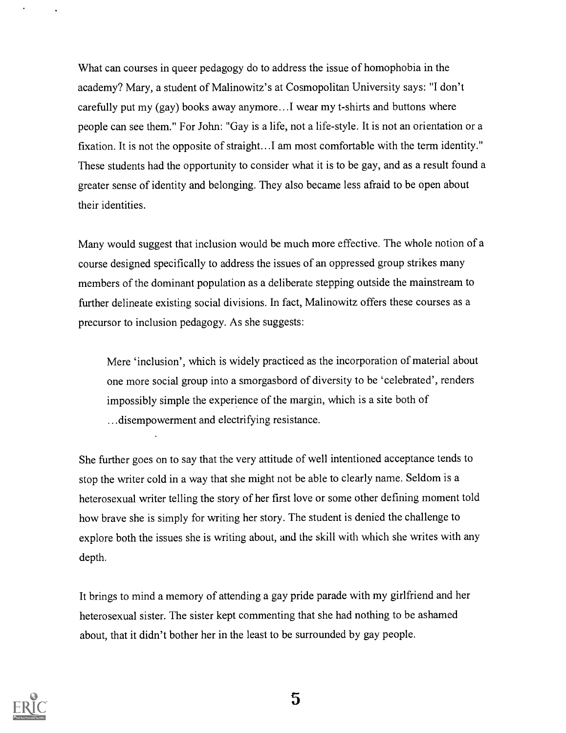What can courses in queer pedagogy do to address the issue of homophobia in the academy? Mary, a student of Malinowitz's at Cosmopolitan University says: "I don't carefully put my (gay) books away anymore...I wear my t-shirts and buttons where people can see them." For John: "Gay is a life, not a life-style. It is not an orientation or a fixation. It is not the opposite of straight...I am most comfortable with the term identity." These students had the opportunity to consider what it is to be gay, and as a result found a greater sense of identity and belonging. They also became less afraid to be open about their identities.

Many would suggest that inclusion would be much more effective. The whole notion of a course designed specifically to address the issues of an oppressed group strikes many members of the dominant population as a deliberate stepping outside the mainstream to further delineate existing social divisions. In fact, Malinowitz offers these courses as a precursor to inclusion pedagogy. As she suggests:

Mere 'inclusion', which is widely practiced as the incorporation of material about one more social group into a smorgasbord of diversity to be 'celebrated', renders impossibly simple the experience of the margin, which is a site both of ...disempowerment and electrifying resistance.

She further goes on to say that the very attitude of well intentioned acceptance tends to stop the writer cold in a way that she might not be able to clearly name. Seldom is a heterosexual writer telling the story of her first love or some other defining moment told how brave she is simply for writing her story. The student is denied the challenge to explore both the issues she is writing about, and the skill with which she writes with any depth.

It brings to mind a memory of attending a gay pride parade with my girlfriend and her heterosexual sister. The sister kept commenting that she had nothing to be ashamed about, that it didn't bother her in the least to be surrounded by gay people.

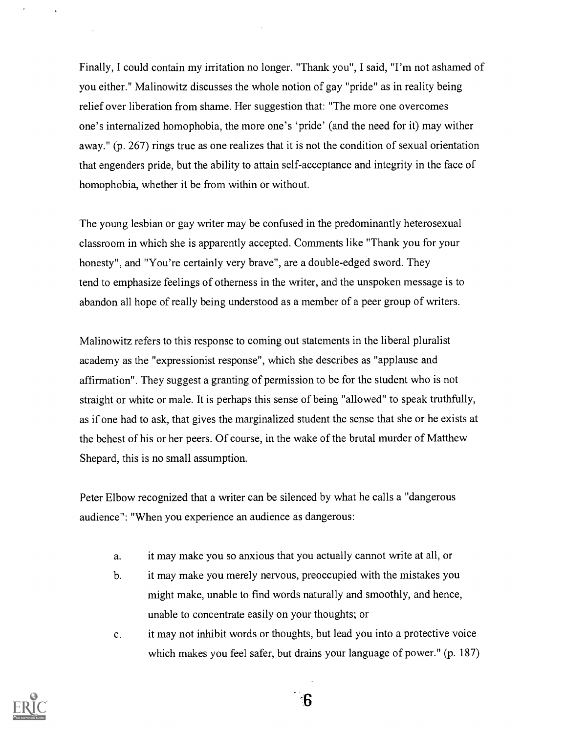Finally, I could contain my irritation no longer. "Thank you", I said, "I'm not ashamed of you either." Malinowitz discusses the whole notion of gay "pride" as in reality being relief over liberation from shame. Her suggestion that: "The more one overcomes one's internalized homophobia, the more one's 'pride' (and the need for it) may wither away." (p. 267) rings true as one realizes that it is not the condition of sexual orientation that engenders pride, but the ability to attain self-acceptance and integrity in the face of homophobia, whether it be from within or without.

The young lesbian or gay writer may be confused in the predominantly heterosexual classroom in which she is apparently accepted. Comments like "Thank you for your honesty", and "You're certainly very brave", are a double-edged sword. They tend to emphasize feelings of otherness in the writer, and the unspoken message is to abandon all hope of really being understood as a member of a peer group of writers.

Malinowitz refers to this response to coming out statements in the liberal pluralist academy as the "expressionist response", which she describes as "applause and affirmation". They suggest a granting of permission to be for the student who is not straight or white or male. It is perhaps this sense of being "allowed" to speak truthfully, as if one had to ask, that gives the marginalized student the sense that she or he exists at the behest of his or her peers. Of course, in the wake of the brutal murder of Matthew Shepard, this is no small assumption.

Peter Elbow recognized that a writer can be silenced by what he calls a "dangerous audience": "When you experience an audience as dangerous:

- a. it may make you so anxious that you actually cannot write at ail, or
- b. it may make you merely nervous, preoccupied with the mistakes you might make, unable to find words naturally and smoothly, and hence, unable to concentrate easily on your thoughts; or
- c. it may not inhibit words or thoughts, but lead you into a protective voice which makes you feel safer, but drains your language of power." (p. 187)

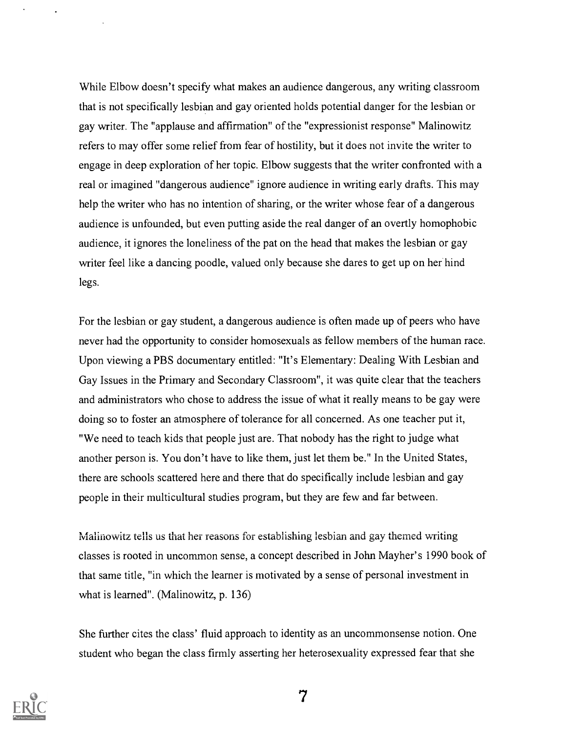While Elbow doesn't specify what makes an audience dangerous, any writing classroom that is not specifically lesbian and gay oriented holds potential danger for the lesbian or gay writer. The "applause and affirmation" of the "expressionist response" Malinowitz refers to may offer some relief from fear of hostility, but it does not invite the writer to engage in deep exploration of her topic. Elbow suggests that the writer confronted with a real or imagined "dangerous audience" ignore audience in writing early drafts. This may help the writer who has no intention of sharing, or the writer whose fear of a dangerous audience is unfounded, but even putting aside the real danger of an overtly homophobic audience, it ignores the loneliness of the pat on the head that makes the lesbian or gay writer feel like a dancing poodle, valued only because she dares to get up on her hind legs.

For the lesbian or gay student, a dangerous audience is often made up of peers who have never had the opportunity to consider homosexuals as fellow members of the human race. Upon viewing a PBS documentary entitled: "It's Elementary: Dealing With Lesbian and Gay Issues in the Primary and Secondary Classroom", it was quite clear that the teachers and administrators who chose to address the issue of what it really means to be gay were doing so to foster an atmosphere of tolerance for all concerned. As one teacher put it, "We need to teach kids that people just are. That nobody has the right to judge what another person is. You don't have to like them, just let them be." In the United States, there are schools scattered here and there that do specifically include lesbian and gay people in their multicultural studies program, but they are few and far between.

Malinowitz tells us that her reasons for establishing lesbian and gay themed writing classes is rooted in uncommon sense, a concept described in John Mayher's 1990 book of that same title, "in which the learner is motivated by a sense of personal investment in what is learned". (Malinowitz, p. 136)

She further cites the class' fluid approach to identity as an uncommonsense notion. One student who began the class firmly asserting her heterosexuality expressed fear that she

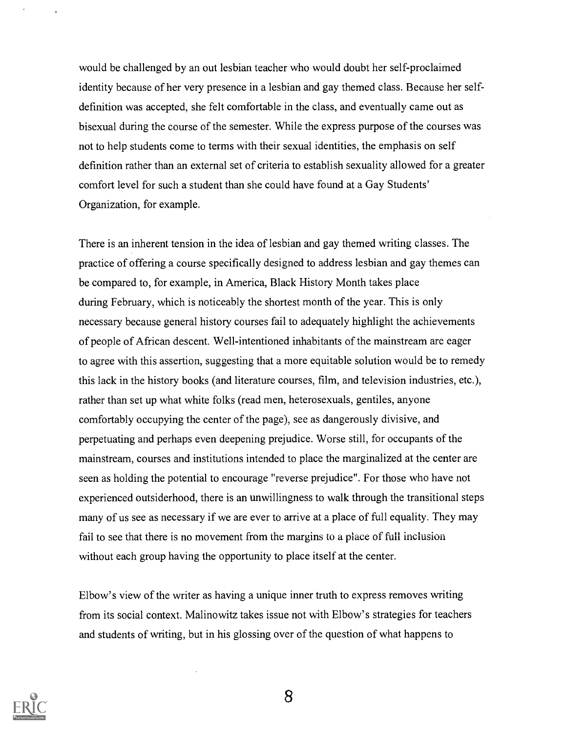would be challenged by an out lesbian teacher who would doubt her self-proclaimed identity because of her very presence in a lesbian and gay themed class. Because her selfdefinition was accepted, she felt comfortable in the class, and eventually came out as bisexual during the course of the semester. While the express purpose of the courses was not to help students come to terms with their sexual identities, the emphasis on self definition rather than an external set of criteria to establish sexuality allowed for a greater comfort level for such a student than she could have found at a Gay Students' Organization, for example.

There is an inherent tension in the idea of lesbian and gay themed writing classes. The practice of offering a course specifically designed to address lesbian and gay themes can be compared to, for example, in America, Black History Month takes place during February, which is noticeably the shortest month of the year. This is only necessary because general history courses fail to adequately highlight the achievements of people of African descent. Well-intentioned inhabitants of the mainstream are eager to agree with this assertion, suggesting that a more equitable solution would be to remedy this lack in the history books (and literature courses, film, and television industries, etc.), rather than set up what white folks (read men, heterosexuals, gentiles, anyone comfortably occupying the center of the page), see as dangerously divisive, and perpetuating and perhaps even deepening prejudice. Worse still, for occupants of the mainstream, courses and institutions intended to place the marginalized at the center are seen as holding the potential to encourage "reverse prejudice". For those who have not experienced outsiderhood, there is an unwillingness to walk through the transitional steps many of us see as necessary if we are ever to arrive at a place of full equality. They may fail to see that there is no movement from the margins to a place of full inclusion without each group having the opportunity to place itself at the center.

Elbow's view of the writer as having a unique inner truth to express removes writing from its social context. Malinowitz takes issue not with Elbow's strategies for teachers and students of writing, but in his glossing over of the question of what happens to

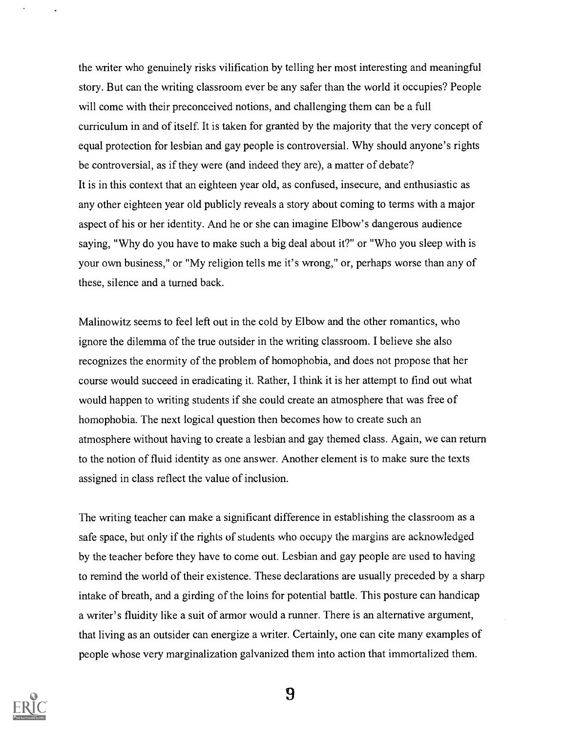the writer who genuinely risks vilification by telling her most interesting and meaningful story. But can the writing classroom ever be any safer than the world it occupies? People will come with their preconceived notions, and challenging them can be a full curriculum in and of itself. It is taken for granted by the majority that the very concept of equal protection for lesbian and gay people is controversial. Why should anyone's rights be controversial, as if they were (and indeed they are), a matter of debate? It is in this context that an eighteen year old, as confused, insecure, and enthusiastic as any other eighteen year old publicly reveals a story about coming to terms with a major aspect of his or her identity. And he or she can imagine Elbow's dangerous audience saying, "Why do you have to make such a big deal about it?" or "Who you sleep with is your own business," or "My religion tells me it's wrong," or, perhaps worse than any of these, silence and a turned back.

Malinowitz seems to feel left out in the cold by Elbow and the other romantics, who ignore the dilemma of the true outsider in the writing classroom. I believe she also recognizes the enormity of the problem of homophobia, and does not propose that her course would succeed in eradicating it. Rather, I think it is her attempt to find out what would happen to writing students if she could create an atmosphere that was free of homophobia. The next logical question then becomes how to create such an atmosphere without having to create a lesbian and gay themed class. Again, we can return to the notion of fluid identity as one answer. Another element is to make sure the texts assigned in class reflect the value of inclusion.

The writing teacher can make a significant difference in establishing the classroom as a safe space, but only if the rights of students who occupy the margins are acknowledged by the teacher before they have to come out. Lesbian and gay people are used to having to remind the world of their existence. These declarations are usually preceded by a sharp intake of breath, and a girding of the loins for potential battle. This posture can handicap a writer's fluidity like a suit of armor would a runner. There is an alternative argument, that living as an outsider can energize a writer. Certainly, one can cite many examples of people whose very marginalization galvanized them into action that immortalized them.

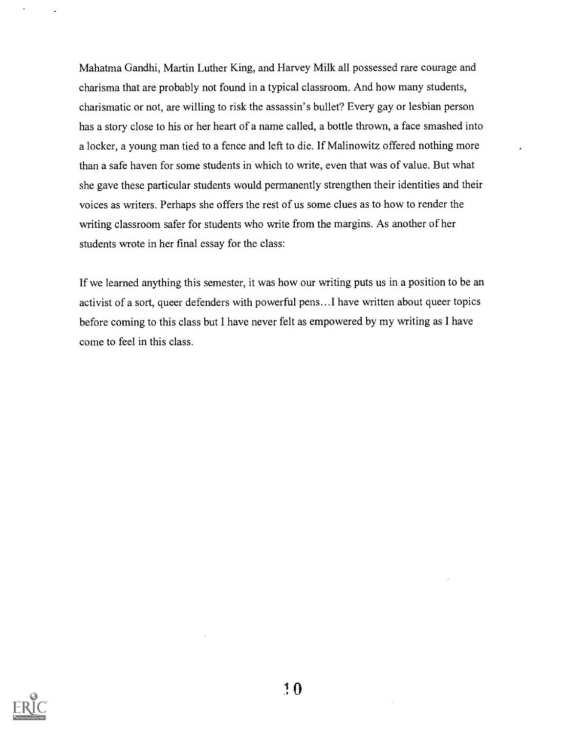Mahatma Gandhi, Martin Luther King, and Harvey Milk all possessed rare courage and charisma that are probably not found in a typical classroom. And how many students, charismatic or not, are willing to risk the assassin's bullet? Every gay or lesbian person has a story close to his or her heart of a name called, a bottle thrown, a face smashed into a locker, a young man tied to a fence and left to die. If Malinowitz offered nothing more than a safe haven for some students in which to write, even that was of value. But what she gave these particular students would permanently strengthen their identities and their voices as writers. Perhaps she offers the rest of us some clues as to how to render the writing classroom safer for students who write from the margins. As another of her students wrote in her final essay for the class:

If we learned anything this semester, it was how our writing puts us in a position to be an activist of a sort, queer defenders with powerful pens...I have written about queer topics before coming to this class but I have never felt as empowered by my writing as I have come to feel in this class.

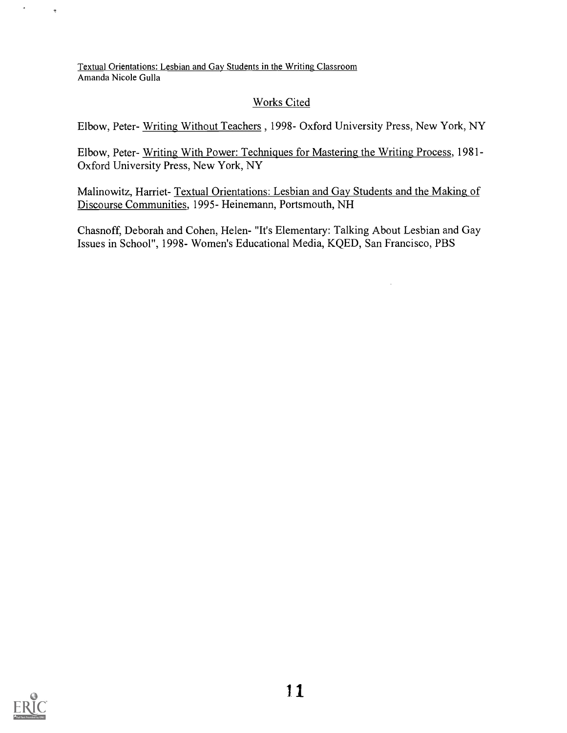Textual Orientations: Lesbian and Gay Students in the Writing Classroom Amanda Nicole Gulla

#### Works Cited

Elbow, Peter- Writing Without Teachers , 1998- Oxford University Press, New York, NY

Elbow, Peter- Writing With Power: Techniques for Mastering the Writing Process, 1981 - Oxford University Press, New York, NY

Malinowitz, Harriet- Textual Orientations: Lesbian and Gay Students and the Making of Discourse Communities, 1995- Heinemann, Portsmouth, NH

Chasnoff, Deborah and Cohen, Helen- "It's Elementary: Talking About Lesbian and Gay Issues in School", 1998- Women's Educational Media, KQED, San Francisco, PBS



 $\ddot{\phantom{1}}$ 

 $\ddot{\phantom{a}}$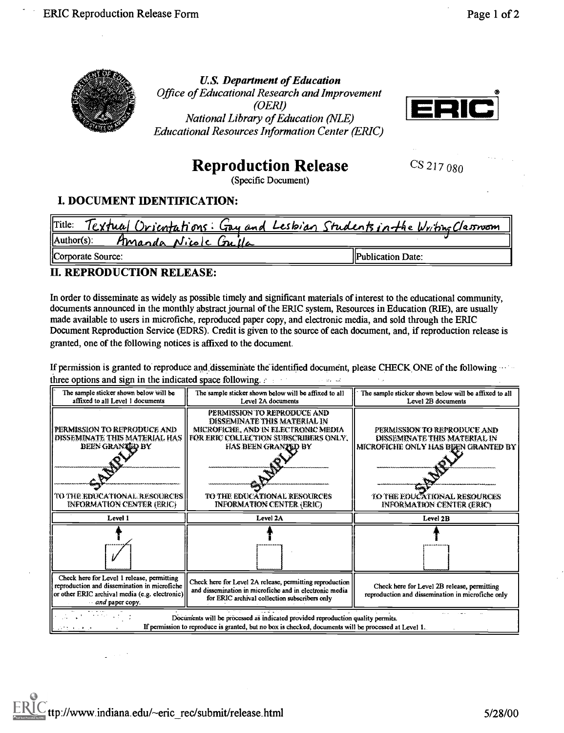

**U.S. Department of Education** Office of Educational Research and Improvement  $(OERI)$ National Library of Education (NLE) **Educational Resources Information Center (ERIC)** 



# **Reproduction Release**

CS 217 080

(Specific Document)

## **I. DOCUMENT IDENTIFICATION:**

| <u>Textual Orientations: Gay and Lesbian Students in the Writing Classwom</u><br>Title: |                          |
|-----------------------------------------------------------------------------------------|--------------------------|
| $\Lambda$ uthor(s):<br>Amanda Nicole Guilla                                             |                          |
| Corporate Source:                                                                       | <b>Publication Date:</b> |

#### **II. REPRODUCTION RELEASE:**

In order to disseminate as widely as possible timely and significant materials of interest to the educational community, documents announced in the monthly abstract journal of the ERIC system, Resources in Education (RIE), are usually made available to users in microfiche, reproduced paper copy, and electronic media, and sold through the ERIC Document Reproduction Service (EDRS). Credit is given to the source of each document, and, if reproduction release is granted, one of the following notices is affixed to the document.

If permission is granted to reproduce and disseminate the identified document, please CHECK ONE of the following three options and sign in the indicated space following.

| The sample sticker shown below will be<br>affixed to all Level 1 documents                                                                                                                         | The sample sticker shown below will be affixed to all<br>Level 2A documents                                                                                                                                                     | The sample sticker shown below will be affixed to all<br>Level 2B documents                                                                                     |  |  |  |  |
|----------------------------------------------------------------------------------------------------------------------------------------------------------------------------------------------------|---------------------------------------------------------------------------------------------------------------------------------------------------------------------------------------------------------------------------------|-----------------------------------------------------------------------------------------------------------------------------------------------------------------|--|--|--|--|
| PERMISSION TO REPRODUCE AND<br>DISSEMINATE THIS MATERIAL HAS<br><b>BEEN GRANTED BY</b><br><b>TO THE EDUCATIONAL RESOURCES</b><br><b>INFORMATION CENTER (ERIC)</b>                                  | PERMISSION TO REPRODUCE AND<br>DISSEMINATE THIS MATERIAL IN<br>MECROFICHE, AND IN ELECTRONIC MEDIA<br>FOR ERIC COLLECTION SUBSCRIBERS ONLY.<br>HAS BEEN GRANTED BY<br>TO THE EDUCATIONAL RESOURCES<br>INFORMATION CENTER (ERIC) | PERMISSION TO REPRODUCE AND<br>DISSEMINATE THIS MATERIAL IN<br>MICROFICHE ONLY HAS BEEN GRANTED BY<br>TO THE EDUCATIONAL RESOURCES<br>INFORMATION CENTER (ERIC) |  |  |  |  |
| Level 1                                                                                                                                                                                            | Level 2A                                                                                                                                                                                                                        | Level 2B                                                                                                                                                        |  |  |  |  |
|                                                                                                                                                                                                    |                                                                                                                                                                                                                                 |                                                                                                                                                                 |  |  |  |  |
| Check here for Level 1 release, permitting<br>reproduction and dissemination in microfiche<br>or other ERIC archival media (e.g. electronic) <br>and paper copy.                                   | Check here for Level 2A release, permitting reproduction<br>and dissemination in microfiche and in electronic media<br>for ERIC archival collection subscribers only                                                            | Check here for Level 2B release, permitting<br>reproduction and dissemination in microfiche only                                                                |  |  |  |  |
| Documents will be processed as indicated provided reproduction quality permits.<br>If permission to reproduce is granted, but no box is checked, documents will be processed at Level 1.<br>いけいしょう |                                                                                                                                                                                                                                 |                                                                                                                                                                 |  |  |  |  |